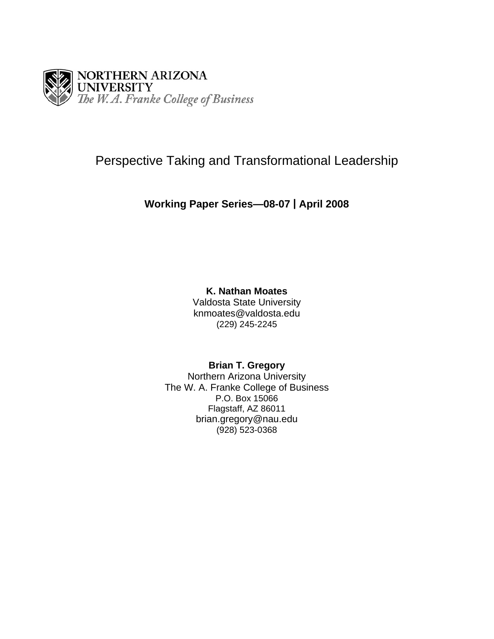

# Perspective Taking and Transformational Leadership

## **Working Paper Series—08-07 | April 2008**

## **K. Nathan Moates**

Valdosta State University knmoates@valdosta.edu (229) 245-2245

## **Brian T. Gregory**

Northern Arizona University The W. A. Franke College of Business P.O. Box 15066 Flagstaff, AZ 86011 brian.gregory@nau.edu (928) 523-0368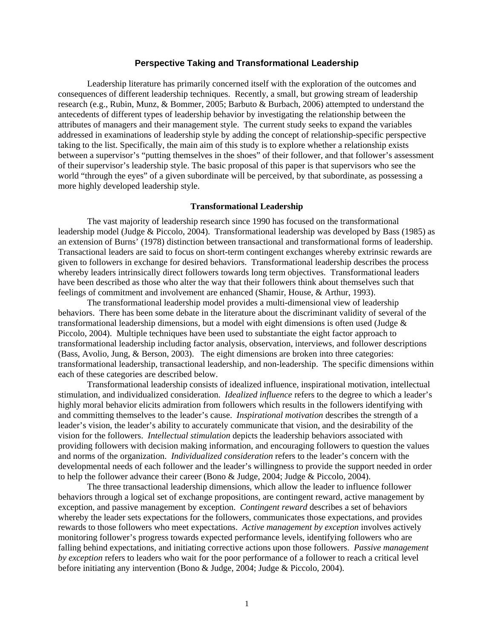### **Perspective Taking and Transformational Leadership**

Leadership literature has primarily concerned itself with the exploration of the outcomes and consequences of different leadership techniques. Recently, a small, but growing stream of leadership research (e.g., Rubin, Munz, & Bommer, 2005; Barbuto & Burbach, 2006) attempted to understand the antecedents of different types of leadership behavior by investigating the relationship between the attributes of managers and their management style. The current study seeks to expand the variables addressed in examinations of leadership style by adding the concept of relationship-specific perspective taking to the list. Specifically, the main aim of this study is to explore whether a relationship exists between a supervisor's "putting themselves in the shoes" of their follower, and that follower's assessment of their supervisor's leadership style. The basic proposal of this paper is that supervisors who see the world "through the eyes" of a given subordinate will be perceived, by that subordinate, as possessing a more highly developed leadership style.

#### **Transformational Leadership**

The vast majority of leadership research since 1990 has focused on the transformational leadership model (Judge & Piccolo, 2004). Transformational leadership was developed by Bass (1985) as an extension of Burns' (1978) distinction between transactional and transformational forms of leadership. Transactional leaders are said to focus on short-term contingent exchanges whereby extrinsic rewards are given to followers in exchange for desired behaviors. Transformational leadership describes the process whereby leaders intrinsically direct followers towards long term objectives. Transformational leaders have been described as those who alter the way that their followers think about themselves such that feelings of commitment and involvement are enhanced (Shamir, House, & Arthur, 1993).

The transformational leadership model provides a multi-dimensional view of leadership behaviors. There has been some debate in the literature about the discriminant validity of several of the transformational leadership dimensions, but a model with eight dimensions is often used (Judge & Piccolo, 2004). Multiple techniques have been used to substantiate the eight factor approach to transformational leadership including factor analysis, observation, interviews, and follower descriptions (Bass, Avolio, Jung, & Berson, 2003). The eight dimensions are broken into three categories: transformational leadership, transactional leadership, and non-leadership. The specific dimensions within each of these categories are described below.

Transformational leadership consists of idealized influence, inspirational motivation, intellectual stimulation, and individualized consideration. *Idealized influence* refers to the degree to which a leader's highly moral behavior elicits admiration from followers which results in the followers identifying with and committing themselves to the leader's cause. *Inspirational motivation* describes the strength of a leader's vision, the leader's ability to accurately communicate that vision, and the desirability of the vision for the followers. *Intellectual stimulation* depicts the leadership behaviors associated with providing followers with decision making information, and encouraging followers to question the values and norms of the organization. *Individualized consideration* refers to the leader's concern with the developmental needs of each follower and the leader's willingness to provide the support needed in order to help the follower advance their career (Bono & Judge, 2004; Judge & Piccolo, 2004).

The three transactional leadership dimensions, which allow the leader to influence follower behaviors through a logical set of exchange propositions, are contingent reward, active management by exception, and passive management by exception. *Contingent reward* describes a set of behaviors whereby the leader sets expectations for the followers, communicates those expectations, and provides rewards to those followers who meet expectations. *Active management by exception* involves actively monitoring follower's progress towards expected performance levels, identifying followers who are falling behind expectations, and initiating corrective actions upon those followers. *Passive management by exception* refers to leaders who wait for the poor performance of a follower to reach a critical level before initiating any intervention (Bono & Judge, 2004; Judge & Piccolo, 2004).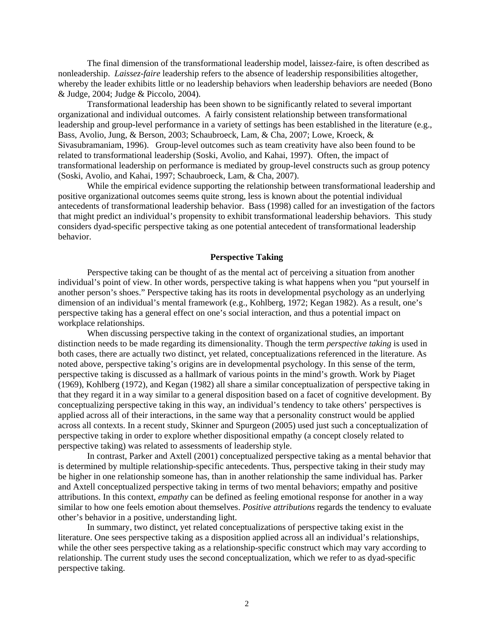The final dimension of the transformational leadership model, laissez-faire, is often described as nonleadership. *Laissez-faire* leadership refers to the absence of leadership responsibilities altogether, whereby the leader exhibits little or no leadership behaviors when leadership behaviors are needed (Bono & Judge, 2004; Judge & Piccolo, 2004).

Transformational leadership has been shown to be significantly related to several important organizational and individual outcomes. A fairly consistent relationship between transformational leadership and group-level performance in a variety of settings has been established in the literature (e.g., Bass, Avolio, Jung, & Berson, 2003; Schaubroeck, Lam, & Cha, 2007; Lowe, Kroeck, & Sivasubramaniam, 1996). Group-level outcomes such as team creativity have also been found to be related to transformational leadership (Soski, Avolio, and Kahai, 1997). Often, the impact of transformational leadership on performance is mediated by group-level constructs such as group potency (Soski, Avolio, and Kahai, 1997; Schaubroeck, Lam, & Cha, 2007).

While the empirical evidence supporting the relationship between transformational leadership and positive organizational outcomes seems quite strong, less is known about the potential individual antecedents of transformational leadership behavior. Bass (1998) called for an investigation of the factors that might predict an individual's propensity to exhibit transformational leadership behaviors. This study considers dyad-specific perspective taking as one potential antecedent of transformational leadership behavior.

## **Perspective Taking**

 Perspective taking can be thought of as the mental act of perceiving a situation from another individual's point of view. In other words, perspective taking is what happens when you "put yourself in another person's shoes." Perspective taking has its roots in developmental psychology as an underlying dimension of an individual's mental framework (e.g., Kohlberg, 1972; Kegan 1982). As a result, one's perspective taking has a general effect on one's social interaction, and thus a potential impact on workplace relationships.

 When discussing perspective taking in the context of organizational studies, an important distinction needs to be made regarding its dimensionality. Though the term *perspective taking* is used in both cases, there are actually two distinct, yet related, conceptualizations referenced in the literature. As noted above, perspective taking's origins are in developmental psychology. In this sense of the term, perspective taking is discussed as a hallmark of various points in the mind's growth. Work by Piaget (1969), Kohlberg (1972), and Kegan (1982) all share a similar conceptualization of perspective taking in that they regard it in a way similar to a general disposition based on a facet of cognitive development. By conceptualizing perspective taking in this way, an individual's tendency to take others' perspectives is applied across all of their interactions, in the same way that a personality construct would be applied across all contexts. In a recent study, Skinner and Spurgeon (2005) used just such a conceptualization of perspective taking in order to explore whether dispositional empathy (a concept closely related to perspective taking) was related to assessments of leadership style.

 In contrast, Parker and Axtell (2001) conceptualized perspective taking as a mental behavior that is determined by multiple relationship-specific antecedents. Thus, perspective taking in their study may be higher in one relationship someone has, than in another relationship the same individual has. Parker and Axtell conceptualized perspective taking in terms of two mental behaviors; empathy and positive attributions. In this context, *empathy* can be defined as feeling emotional response for another in a way similar to how one feels emotion about themselves. *Positive attributions* regards the tendency to evaluate other's behavior in a positive, understanding light.

In summary, two distinct, yet related conceptualizations of perspective taking exist in the literature. One sees perspective taking as a disposition applied across all an individual's relationships, while the other sees perspective taking as a relationship-specific construct which may vary according to relationship. The current study uses the second conceptualization, which we refer to as dyad-specific perspective taking.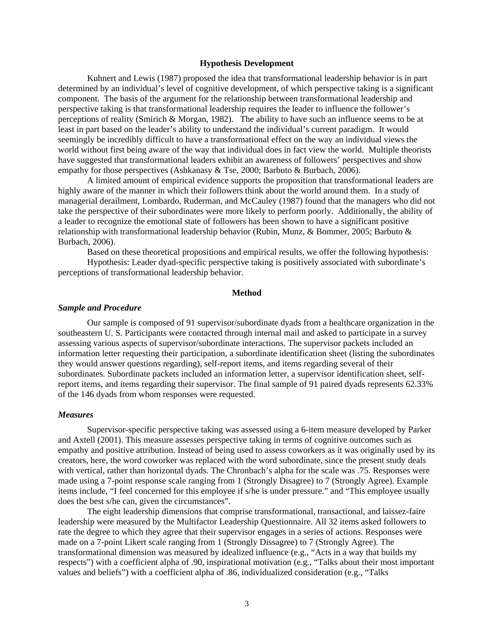#### **Hypothesis Development**

 Kuhnert and Lewis (1987) proposed the idea that transformational leadership behavior is in part determined by an individual's level of cognitive development, of which perspective taking is a significant component. The basis of the argument for the relationship between transformational leadership and perspective taking is that transformational leadership requires the leader to influence the follower's perceptions of reality (Smirich & Morgan, 1982). The ability to have such an influence seems to be at least in part based on the leader's ability to understand the individual's current paradigm. It would seemingly be incredibly difficult to have a transformational effect on the way an individual views the world without first being aware of the way that individual does in fact view the world. Multiple theorists have suggested that transformational leaders exhibit an awareness of followers' perspectives and show empathy for those perspectives (Ashkanasy & Tse, 2000; Barbuto & Burbach, 2006).

A limited amount of empirical evidence supports the proposition that transformational leaders are highly aware of the manner in which their followers think about the world around them. In a study of managerial derailment, Lombardo, Ruderman, and McCauley (1987) found that the managers who did not take the perspective of their subordinates were more likely to perform poorly. Additionally, the ability of a leader to recognize the emotional state of followers has been shown to have a significant positive relationship with transformational leadership behavior (Rubin, Munz, & Bommer, 2005; Barbuto & Burbach, 2006).

Based on these theoretical propositions and empirical results, we offer the following hypothesis: Hypothesis: Leader dyad-specific perspective taking is positively associated with subordinate's

perceptions of transformational leadership behavior.

## **Method**

#### *Sample and Procedure*

 Our sample is composed of 91 supervisor/subordinate dyads from a healthcare organization in the southeastern U. S. Participants were contacted through internal mail and asked to participate in a survey assessing various aspects of supervisor/subordinate interactions. The supervisor packets included an information letter requesting their participation, a subordinate identification sheet (listing the subordinates they would answer questions regarding), self-report items, and items regarding several of their subordinates. Subordinate packets included an information letter, a supervisor identification sheet, selfreport items, and items regarding their supervisor. The final sample of 91 paired dyads represents 62.33% of the 146 dyads from whom responses were requested.

### *Measures*

 Supervisor-specific perspective taking was assessed using a 6-item measure developed by Parker and Axtell (2001). This measure assesses perspective taking in terms of cognitive outcomes such as empathy and positive attribution. Instead of being used to assess coworkers as it was originally used by its creators, here, the word coworker was replaced with the word subordinate, since the present study deals with vertical, rather than horizontal dyads. The Chronbach's alpha for the scale was .75. Responses were made using a 7-point response scale ranging from 1 (Strongly Disagree) to 7 (Strongly Agree). Example items include, "I feel concerned for this employee if s/he is under pressure." and "This employee usually does the best s/he can, given the circumstances".

 The eight leadership dimensions that comprise transformational, transactional, and laissez-faire leadership were measured by the Multifactor Leadership Questionnaire. All 32 items asked followers to rate the degree to which they agree that their supervisor engages in a series of actions. Responses were made on a 7-point Likert scale ranging from 1 (Strongly Dissagree) to 7 (Strongly Agree). The transformational dimension was measured by idealized influence (e.g., "Acts in a way that builds my respects") with a coefficient alpha of .90, inspirational motivation (e.g., "Talks about their most important values and beliefs") with a coefficient alpha of .86, individualized consideration (e.g., "Talks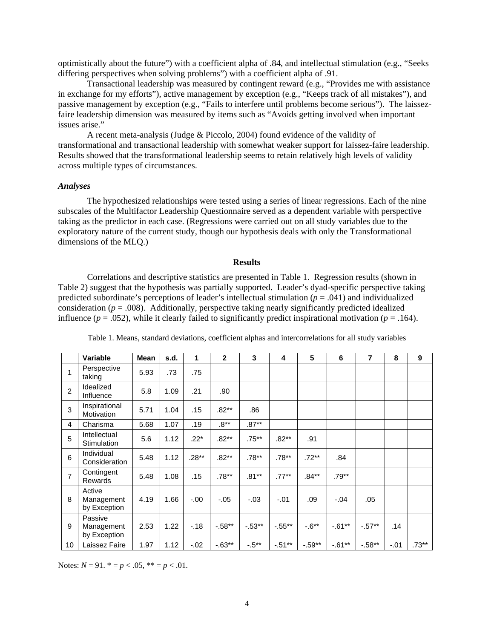optimistically about the future") with a coefficient alpha of .84, and intellectual stimulation (e.g., "Seeks differing perspectives when solving problems") with a coefficient alpha of .91.

 Transactional leadership was measured by contingent reward (e.g., "Provides me with assistance in exchange for my efforts"), active management by exception (e.g., "Keeps track of all mistakes"), and passive management by exception (e.g., "Fails to interfere until problems become serious"). The laissezfaire leadership dimension was measured by items such as "Avoids getting involved when important issues arise."

 A recent meta-analysis (Judge & Piccolo, 2004) found evidence of the validity of transformational and transactional leadership with somewhat weaker support for laissez-faire leadership. Results showed that the transformational leadership seems to retain relatively high levels of validity across multiple types of circumstances.

## *Analyses*

 The hypothesized relationships were tested using a series of linear regressions. Each of the nine subscales of the Multifactor Leadership Questionnaire served as a dependent variable with perspective taking as the predictor in each case. (Regressions were carried out on all study variables due to the exploratory nature of the current study, though our hypothesis deals with only the Transformational dimensions of the MLQ.)

#### **Results**

 Correlations and descriptive statistics are presented in Table 1. Regression results (shown in Table 2) suggest that the hypothesis was partially supported. Leader's dyad-specific perspective taking predicted subordinate's perceptions of leader's intellectual stimulation (*p* = .041) and individualized consideration ( $p = .008$ ). Additionally, perspective taking nearly significantly predicted idealized influence ( $p = .052$ ), while it clearly failed to significantly predict inspirational motivation ( $p = .164$ ).

|                | <b>Variable</b>                       | <b>Mean</b> | s.d. | 1       | $\mathbf{2}$ | 3        | 4         | 5         | 6         | 7         | 8      | 9       |
|----------------|---------------------------------------|-------------|------|---------|--------------|----------|-----------|-----------|-----------|-----------|--------|---------|
| 1              | Perspective<br>taking                 | 5.93        | .73  | .75     |              |          |           |           |           |           |        |         |
| $\overline{c}$ | Idealized<br>Influence                | 5.8         | 1.09 | .21     | .90          |          |           |           |           |           |        |         |
| 3              | Inspirational<br>Motivation           | 5.71        | 1.04 | .15     | $.82**$      | .86      |           |           |           |           |        |         |
| 4              | Charisma                              | 5.68        | 1.07 | .19     | $.8**$       | $.87***$ |           |           |           |           |        |         |
| 5              | Intellectual<br>Stimulation           | 5.6         | 1.12 | $.22*$  | $.82**$      | .75**    | $.82**$   | .91       |           |           |        |         |
| 6              | Individual<br>Consideration           | 5.48        | 1.12 | $.28**$ | $.82**$      | $.78**$  | $.78**$   | $.72***$  | .84       |           |        |         |
| $\overline{7}$ | Contingent<br><b>Rewards</b>          | 5.48        | 1.08 | .15     | $.78**$      | $.81***$ | $.77***$  | .84**     | $.79**$   |           |        |         |
| 8              | Active<br>Management<br>by Exception  | 4.19        | 1.66 | $-.00$  | $-.05$       | $-.03$   | $-.01$    | .09       | $-.04$    | .05       |        |         |
| 9              | Passive<br>Management<br>by Exception | 2.53        | 1.22 | $-.18$  | $-.58**$     | $-.53**$ | $-.55**$  | $-0.6**$  | $-0.61**$ | $-.57**$  | .14    |         |
| 10             | Laissez Faire                         | 1.97        | 1.12 | $-0.02$ | $-0.63**$    | $-.5***$ | $-0.51**$ | $-0.59**$ | $-0.61**$ | $-0.58**$ | $-.01$ | $.73**$ |

Table 1. Means, standard deviations, coefficient alphas and intercorrelations for all study variables

Notes:  $N = 91$ .  $* = p < .05$ ,  $** = p < .01$ .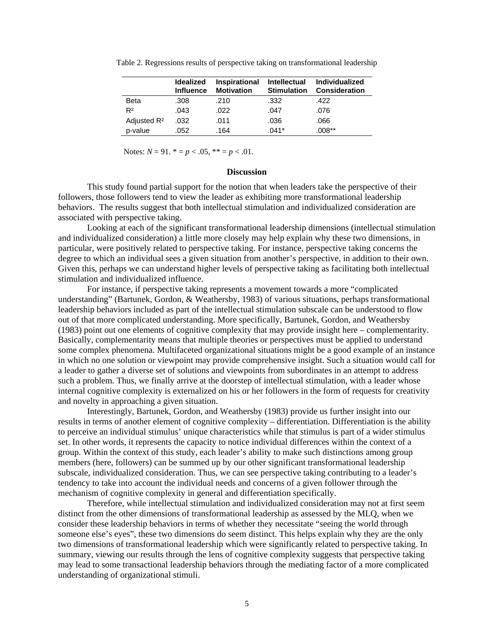|                         | <b>Idealized</b><br><b>Influence</b> | Inspirational<br><b>Motivation</b> | <b>Intellectual</b><br><b>Stimulation</b> | <b>Individualized</b><br><b>Consideration</b> |
|-------------------------|--------------------------------------|------------------------------------|-------------------------------------------|-----------------------------------------------|
| <b>Beta</b>             | .308                                 | .210                               | .332                                      | .422                                          |
| R <sup>2</sup>          | .043                                 | .022                               | .047                                      | .076                                          |
| Adjusted R <sup>2</sup> | .032                                 | .011                               | .036                                      | .066                                          |
| p-value                 | .052                                 | .164                               | $.041*$                                   | $.008**$                                      |

Table 2. Regressions results of perspective taking on transformational leadership

Notes:  $N = 91$ .  $* = p < .05$ ,  $* = p < .01$ .

#### **Discussion**

This study found partial support for the notion that when leaders take the perspective of their followers, those followers tend to view the leader as exhibiting more transformational leadership behaviors. The results suggest that both intellectual stimulation and individualized consideration are associated with perspective taking.

 Looking at each of the significant transformational leadership dimensions (intellectual stimulation and individualized consideration) a little more closely may help explain why these two dimensions, in particular, were positively related to perspective taking. For instance, perspective taking concerns the degree to which an individual sees a given situation from another's perspective, in addition to their own. Given this, perhaps we can understand higher levels of perspective taking as facilitating both intellectual stimulation and individualized influence.

 For instance, if perspective taking represents a movement towards a more "complicated understanding" (Bartunek, Gordon, & Weathersby, 1983) of various situations, perhaps transformational leadership behaviors included as part of the intellectual stimulation subscale can be understood to flow out of that more complicated understanding. More specifically, Bartunek, Gordon, and Weathersby (1983) point out one elements of cognitive complexity that may provide insight here – complementarity. Basically, complementarity means that multiple theories or perspectives must be applied to understand some complex phenomena. Multifaceted organizational situations might be a good example of an instance in which no one solution or viewpoint may provide comprehensive insight. Such a situation would call for a leader to gather a diverse set of solutions and viewpoints from subordinates in an attempt to address such a problem. Thus, we finally arrive at the doorstep of intellectual stimulation, with a leader whose internal cognitive complexity is externalized on his or her followers in the form of requests for creativity and novelty in approaching a given situation.

 Interestingly, Bartunek, Gordon, and Weathersby (1983) provide us further insight into our results in terms of another element of cognitive complexity – differentiation. Differentiation is the ability to perceive an individual stimulus' unique characteristics while that stimulus is part of a wider stimulus set. In other words, it represents the capacity to notice individual differences within the context of a group. Within the context of this study, each leader's ability to make such distinctions among group members (here, followers) can be summed up by our other significant transformational leadership subscale, individualized consideration. Thus, we can see perspective taking contributing to a leader's tendency to take into account the individual needs and concerns of a given follower through the mechanism of cognitive complexity in general and differentiation specifically.

 Therefore, while intellectual stimulation and individualized consideration may not at first seem distinct from the other dimensions of transformational leadership as assessed by the MLQ, when we consider these leadership behaviors in terms of whether they necessitate "seeing the world through someone else's eyes", these two dimensions do seem distinct. This helps explain why they are the only two dimensions of transformational leadership which were significantly related to perspective taking. In summary, viewing our results through the lens of cognitive complexity suggests that perspective taking may lead to some transactional leadership behaviors through the mediating factor of a more complicated understanding of organizational stimuli.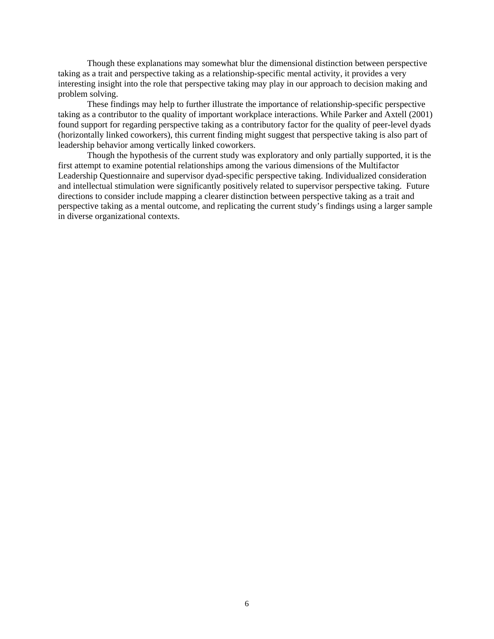Though these explanations may somewhat blur the dimensional distinction between perspective taking as a trait and perspective taking as a relationship-specific mental activity, it provides a very interesting insight into the role that perspective taking may play in our approach to decision making and problem solving.

These findings may help to further illustrate the importance of relationship-specific perspective taking as a contributor to the quality of important workplace interactions. While Parker and Axtell (2001) found support for regarding perspective taking as a contributory factor for the quality of peer-level dyads (horizontally linked coworkers), this current finding might suggest that perspective taking is also part of leadership behavior among vertically linked coworkers.

 Though the hypothesis of the current study was exploratory and only partially supported, it is the first attempt to examine potential relationships among the various dimensions of the Multifactor Leadership Questionnaire and supervisor dyad-specific perspective taking. Individualized consideration and intellectual stimulation were significantly positively related to supervisor perspective taking. Future directions to consider include mapping a clearer distinction between perspective taking as a trait and perspective taking as a mental outcome, and replicating the current study's findings using a larger sample in diverse organizational contexts.